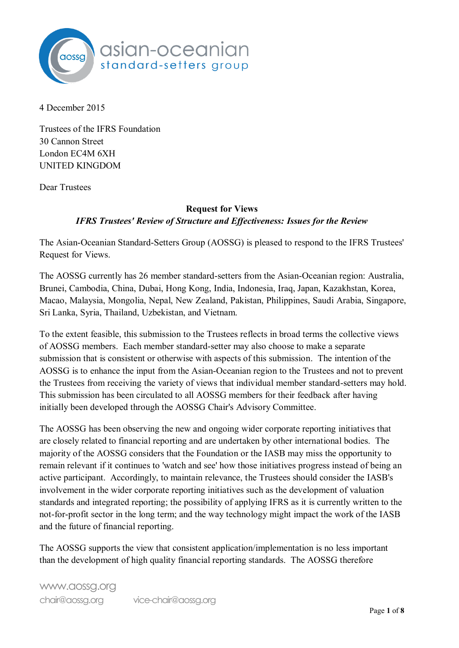

4 December 2015

Trustees of the IFRS Foundation 30 Cannon Street London EC4M 6XH UNITED KINGDOM

Dear Trustees

# **Request for Views**  *IFRS Trustees' Review of Structure and Effectiveness: Issues for the Review*

The Asian-Oceanian Standard-Setters Group (AOSSG) is pleased to respond to the IFRS Trustees' Request for Views.

The AOSSG currently has 26 member standard-setters from the Asian-Oceanian region: Australia, Brunei, Cambodia, China, Dubai, Hong Kong, India, Indonesia, Iraq, Japan, Kazakhstan, Korea, Macao, Malaysia, Mongolia, Nepal, New Zealand, Pakistan, Philippines, Saudi Arabia, Singapore, Sri Lanka, Syria, Thailand, Uzbekistan, and Vietnam.

To the extent feasible, this submission to the Trustees reflects in broad terms the collective views of AOSSG members. Each member standard-setter may also choose to make a separate submission that is consistent or otherwise with aspects of this submission. The intention of the AOSSG is to enhance the input from the Asian-Oceanian region to the Trustees and not to prevent the Trustees from receiving the variety of views that individual member standard-setters may hold. This submission has been circulated to all AOSSG members for their feedback after having initially been developed through the AOSSG Chair's Advisory Committee.

The AOSSG has been observing the new and ongoing wider corporate reporting initiatives that are closely related to financial reporting and are undertaken by other international bodies. The majority of the AOSSG considers that the Foundation or the IASB may miss the opportunity to remain relevant if it continues to 'watch and see' how those initiatives progress instead of being an active participant. Accordingly, to maintain relevance, the Trustees should consider the IASB's involvement in the wider corporate reporting initiatives such as the development of valuation standards and integrated reporting; the possibility of applying IFRS as it is currently written to the not-for-profit sector in the long term; and the way technology might impact the work of the IASB and the future of financial reporting.

The AOSSG supports the view that consistent application/implementation is no less important than the development of high quality financial reporting standards. The AOSSG therefore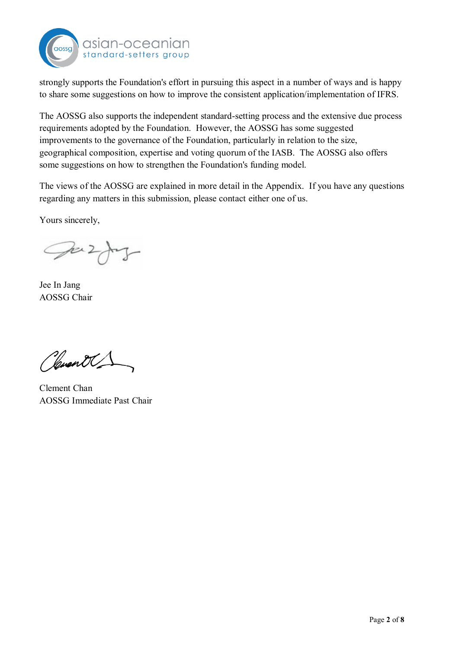

strongly supports the Foundation's effort in pursuing this aspect in a number of ways and is happy to share some suggestions on how to improve the consistent application/implementation of IFRS.

The AOSSG also supports the independent standard-setting process and the extensive due process requirements adopted by the Foundation. However, the AOSSG has some suggested improvements to the governance of the Foundation, particularly in relation to the size, geographical composition, expertise and voting quorum of the IASB. The AOSSG also offers some suggestions on how to strengthen the Foundation's funding model.

The views of the AOSSG are explained in more detail in the Appendix. If you have any questions regarding any matters in this submission, please contact either one of us.

Yours sincerely,

Juzy

Jee In Jang AOSSG Chair

Clevent C

Clement Chan AOSSG Immediate Past Chair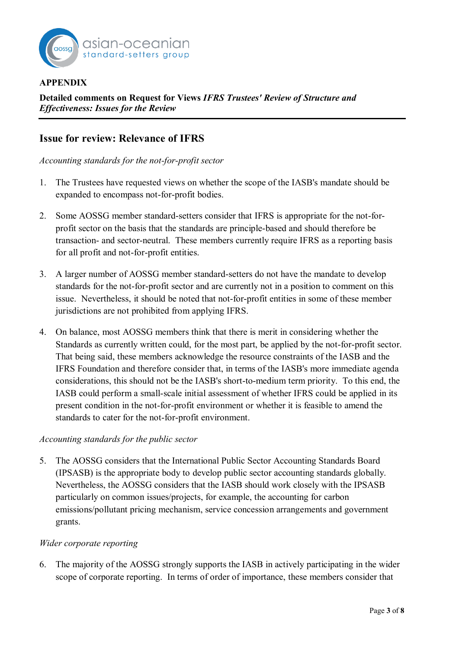

#### **APPENDIX**

**Detailed comments on Request for Views** *IFRS Trustees' Review of Structure and Effectiveness: Issues for the Review*

# **Issue for review: Relevance of IFRS**

*Accounting standards for the not-for-profit sector* 

- 1. The Trustees have requested views on whether the scope of the IASB's mandate should be expanded to encompass not-for-profit bodies.
- 2. Some AOSSG member standard-setters consider that IFRS is appropriate for the not-forprofit sector on the basis that the standards are principle-based and should therefore be transaction- and sector-neutral. These members currently require IFRS as a reporting basis for all profit and not-for-profit entities.
- 3. A larger number of AOSSG member standard-setters do not have the mandate to develop standards for the not-for-profit sector and are currently not in a position to comment on this issue. Nevertheless, it should be noted that not-for-profit entities in some of these member jurisdictions are not prohibited from applying IFRS.
- 4. On balance, most AOSSG members think that there is merit in considering whether the Standards as currently written could, for the most part, be applied by the not-for-profit sector. That being said, these members acknowledge the resource constraints of the IASB and the IFRS Foundation and therefore consider that, in terms of the IASB's more immediate agenda considerations, this should not be the IASB's short-to-medium term priority. To this end, the IASB could perform a small-scale initial assessment of whether IFRS could be applied in its present condition in the not-for-profit environment or whether it is feasible to amend the standards to cater for the not-for-profit environment.

#### *Accounting standards for the public sector*

5. The AOSSG considers that the International Public Sector Accounting Standards Board (IPSASB) is the appropriate body to develop public sector accounting standards globally. Nevertheless, the AOSSG considers that the IASB should work closely with the IPSASB particularly on common issues/projects, for example, the accounting for carbon emissions/pollutant pricing mechanism, service concession arrangements and government grants.

#### *Wider corporate reporting*

6. The majority of the AOSSG strongly supports the IASB in actively participating in the wider scope of corporate reporting. In terms of order of importance, these members consider that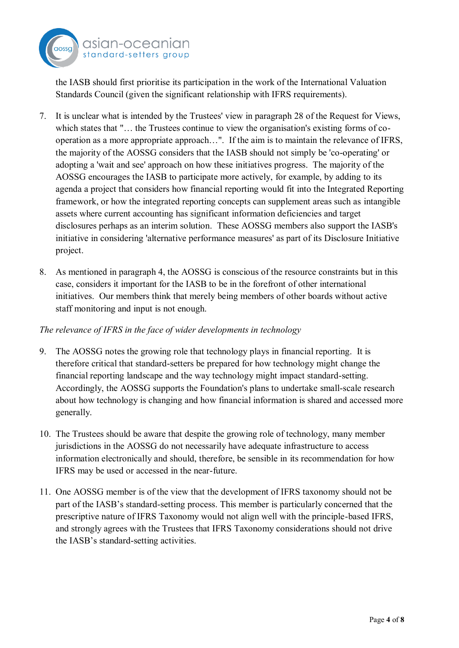

the IASB should first prioritise its participation in the work of the International Valuation Standards Council (given the significant relationship with IFRS requirements).

- 7. It is unclear what is intended by the Trustees' view in paragraph 28 of the Request for Views, which states that "… the Trustees continue to view the organisation's existing forms of cooperation as a more appropriate approach…". If the aim is to maintain the relevance of IFRS, the majority of the AOSSG considers that the IASB should not simply be 'co-operating' or adopting a 'wait and see' approach on how these initiatives progress. The majority of the AOSSG encourages the IASB to participate more actively, for example, by adding to its agenda a project that considers how financial reporting would fit into the Integrated Reporting framework, or how the integrated reporting concepts can supplement areas such as intangible assets where current accounting has significant information deficiencies and target disclosures perhaps as an interim solution. These AOSSG members also support the IASB's initiative in considering 'alternative performance measures' as part of its Disclosure Initiative project.
- 8. As mentioned in paragraph 4, the AOSSG is conscious of the resource constraints but in this case, considers it important for the IASB to be in the forefront of other international initiatives. Our members think that merely being members of other boards without active staff monitoring and input is not enough.

## *The relevance of IFRS in the face of wider developments in technology*

- 9. The AOSSG notes the growing role that technology plays in financial reporting. It is therefore critical that standard-setters be prepared for how technology might change the financial reporting landscape and the way technology might impact standard-setting. Accordingly, the AOSSG supports the Foundation's plans to undertake small-scale research about how technology is changing and how financial information is shared and accessed more generally.
- 10. The Trustees should be aware that despite the growing role of technology, many member jurisdictions in the AOSSG do not necessarily have adequate infrastructure to access information electronically and should, therefore, be sensible in its recommendation for how IFRS may be used or accessed in the near-future.
- 11. One AOSSG member is of the view that the development of IFRS taxonomy should not be part of the IASB's standard-setting process. This member is particularly concerned that the prescriptive nature of IFRS Taxonomy would not align well with the principle-based IFRS, and strongly agrees with the Trustees that IFRS Taxonomy considerations should not drive the IASB's standard-setting activities.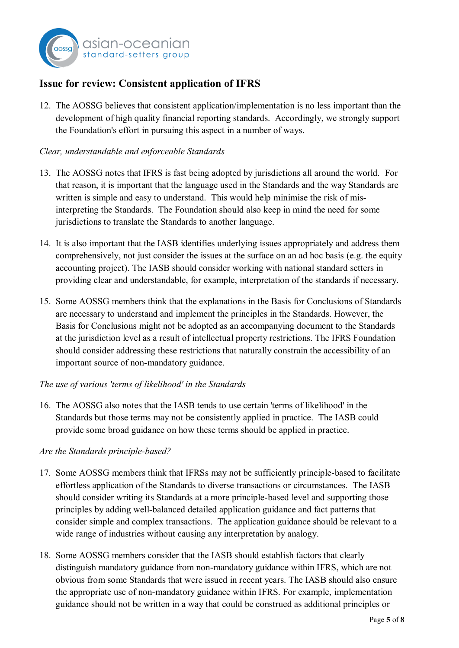

# **Issue for review: Consistent application of IFRS**

12. The AOSSG believes that consistent application/implementation is no less important than the development of high quality financial reporting standards. Accordingly, we strongly support the Foundation's effort in pursuing this aspect in a number of ways.

## *Clear, understandable and enforceable Standards*

- 13. The AOSSG notes that IFRS is fast being adopted by jurisdictions all around the world. For that reason, it is important that the language used in the Standards and the way Standards are written is simple and easy to understand. This would help minimise the risk of misinterpreting the Standards. The Foundation should also keep in mind the need for some jurisdictions to translate the Standards to another language.
- 14. It is also important that the IASB identifies underlying issues appropriately and address them comprehensively, not just consider the issues at the surface on an ad hoc basis (e.g. the equity accounting project). The IASB should consider working with national standard setters in providing clear and understandable, for example, interpretation of the standards if necessary.
- 15. Some AOSSG members think that the explanations in the Basis for Conclusions of Standards are necessary to understand and implement the principles in the Standards. However, the Basis for Conclusions might not be adopted as an accompanying document to the Standards at the jurisdiction level as a result of intellectual property restrictions. The IFRS Foundation should consider addressing these restrictions that naturally constrain the accessibility of an important source of non-mandatory guidance.
- *The use of various 'terms of likelihood' in the Standards*
- 16. The AOSSG also notes that the IASB tends to use certain 'terms of likelihood' in the Standards but those terms may not be consistently applied in practice. The IASB could provide some broad guidance on how these terms should be applied in practice.

## *Are the Standards principle-based?*

- 17. Some AOSSG members think that IFRSs may not be sufficiently principle-based to facilitate effortless application of the Standards to diverse transactions or circumstances. The IASB should consider writing its Standards at a more principle-based level and supporting those principles by adding well-balanced detailed application guidance and fact patterns that consider simple and complex transactions. The application guidance should be relevant to a wide range of industries without causing any interpretation by analogy.
- 18. Some AOSSG members consider that the IASB should establish factors that clearly distinguish mandatory guidance from non-mandatory guidance within IFRS, which are not obvious from some Standards that were issued in recent years. The IASB should also ensure the appropriate use of non-mandatory guidance within IFRS. For example, implementation guidance should not be written in a way that could be construed as additional principles or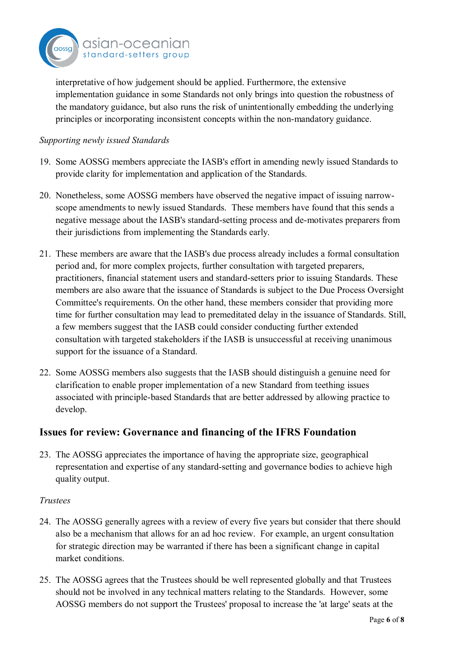

interpretative of how judgement should be applied. Furthermore, the extensive implementation guidance in some Standards not only brings into question the robustness of the mandatory guidance, but also runs the risk of unintentionally embedding the underlying principles or incorporating inconsistent concepts within the non-mandatory guidance.

#### *Supporting newly issued Standards*

- 19. Some AOSSG members appreciate the IASB's effort in amending newly issued Standards to provide clarity for implementation and application of the Standards.
- 20. Nonetheless, some AOSSG members have observed the negative impact of issuing narrowscope amendments to newly issued Standards. These members have found that this sends a negative message about the IASB's standard-setting process and de-motivates preparers from their jurisdictions from implementing the Standards early.
- 21. These members are aware that the IASB's due process already includes a formal consultation period and, for more complex projects, further consultation with targeted preparers, practitioners, financial statement users and standard-setters prior to issuing Standards. These members are also aware that the issuance of Standards is subject to the Due Process Oversight Committee's requirements. On the other hand, these members consider that providing more time for further consultation may lead to premeditated delay in the issuance of Standards. Still, a few members suggest that the IASB could consider conducting further extended consultation with targeted stakeholders if the IASB is unsuccessful at receiving unanimous support for the issuance of a Standard.
- 22. Some AOSSG members also suggests that the IASB should distinguish a genuine need for clarification to enable proper implementation of a new Standard from teething issues associated with principle-based Standards that are better addressed by allowing practice to develop.

# **Issues for review: Governance and financing of the IFRS Foundation**

23. The AOSSG appreciates the importance of having the appropriate size, geographical representation and expertise of any standard-setting and governance bodies to achieve high quality output.

#### *Trustees*

- 24. The AOSSG generally agrees with a review of every five years but consider that there should also be a mechanism that allows for an ad hoc review. For example, an urgent consultation for strategic direction may be warranted if there has been a significant change in capital market conditions.
- 25. The AOSSG agrees that the Trustees should be well represented globally and that Trustees should not be involved in any technical matters relating to the Standards. However, some AOSSG members do not support the Trustees' proposal to increase the 'at large' seats at the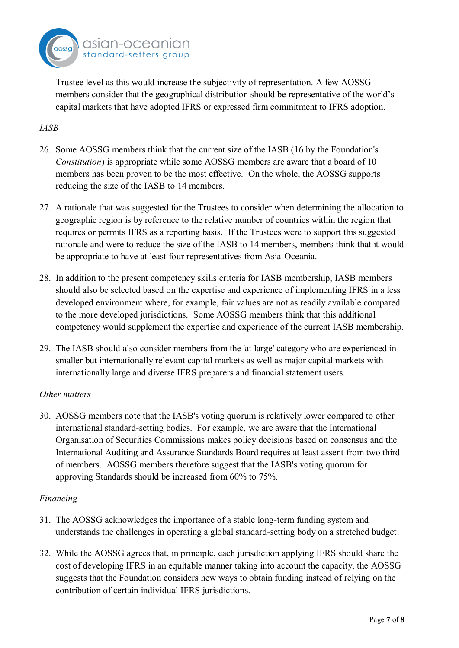

Trustee level as this would increase the subjectivity of representation. A few AOSSG members consider that the geographical distribution should be representative of the world's capital markets that have adopted IFRS or expressed firm commitment to IFRS adoption.

## *IASB*

- 26. Some AOSSG members think that the current size of the IASB (16 by the Foundation's *Constitution*) is appropriate while some AOSSG members are aware that a board of 10 members has been proven to be the most effective. On the whole, the AOSSG supports reducing the size of the IASB to 14 members.
- 27. A rationale that was suggested for the Trustees to consider when determining the allocation to geographic region is by reference to the relative number of countries within the region that requires or permits IFRS as a reporting basis. If the Trustees were to support this suggested rationale and were to reduce the size of the IASB to 14 members, members think that it would be appropriate to have at least four representatives from Asia-Oceania.
- 28. In addition to the present competency skills criteria for IASB membership, IASB members should also be selected based on the expertise and experience of implementing IFRS in a less developed environment where, for example, fair values are not as readily available compared to the more developed jurisdictions. Some AOSSG members think that this additional competency would supplement the expertise and experience of the current IASB membership.
- 29. The IASB should also consider members from the 'at large' category who are experienced in smaller but internationally relevant capital markets as well as major capital markets with internationally large and diverse IFRS preparers and financial statement users.

## *Other matters*

30. AOSSG members note that the IASB's voting quorum is relatively lower compared to other international standard-setting bodies. For example, we are aware that the International Organisation of Securities Commissions makes policy decisions based on consensus and the International Auditing and Assurance Standards Board requires at least assent from two third of members. AOSSG members therefore suggest that the IASB's voting quorum for approving Standards should be increased from 60% to 75%.

## *Financing*

- 31. The AOSSG acknowledges the importance of a stable long-term funding system and understands the challenges in operating a global standard-setting body on a stretched budget.
- 32. While the AOSSG agrees that, in principle, each jurisdiction applying IFRS should share the cost of developing IFRS in an equitable manner taking into account the capacity, the AOSSG suggests that the Foundation considers new ways to obtain funding instead of relying on the contribution of certain individual IFRS jurisdictions.